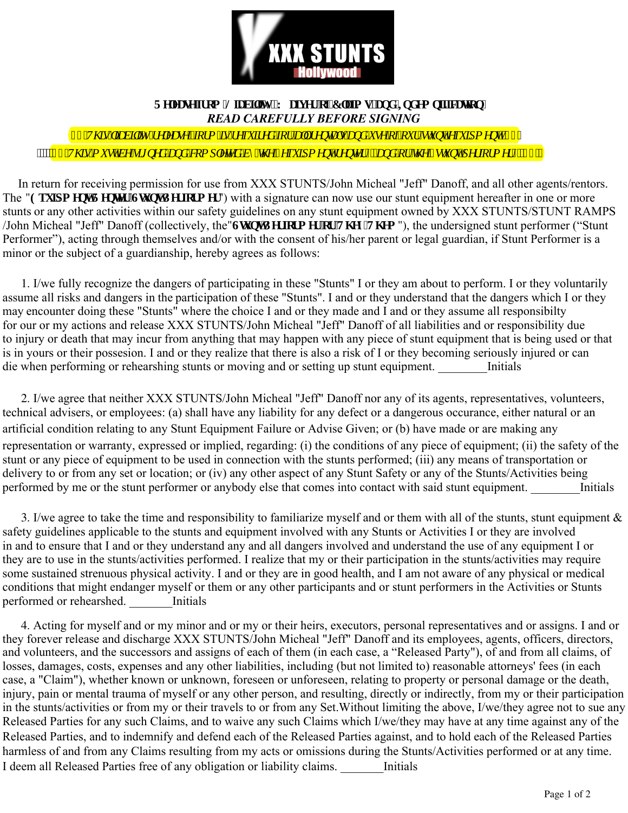

## **Tgrecug'lt go 'Nicdidat, 'Y claset'gliErclo u'cpf 'Ifof go plifiecylgp0** *READ CAREFULLY BEFORE SIGNING*

*n*, 'Vj ku'hcdkky'' grgcug. 'hyto 'ku't gs wk gf 'hyt 'cm't gpycnu'cpf 'wug'qh'qwt 'tampy'gs wkro gpy0', , '' ""<mark>", , "Vj ku'o ww'dg'uki pgf "cpf "ego rngygf "d{"\j g'\$gs wkro gpv't gpygt \$."cpf "qt "\j g'\$uwpv'r gt hqto gt \$0', , '"</mark>

 In return for receiving permission for use from XXX STUNTS/John Micheal "Jeff" Danoff, and all other agents/rentors. The "Gs wir o gpv'T gpvgt IU wpv'Rgt hut o gt") with a signature can now use our stunt equipment hereafter in one or more stunts or any other activities within our safety guidelines on any stunt equipment owned by XXX STUNTS/STUNT RAMPS /John Micheal "Jeff" Danoff (collectively, the "Uwpy'Rgt lnto gt 'h<sub>at</sub> 'V<sub>j</sub> g{ IVj go "), the undersigned stunt performer ("Stunt") Performer"), acting through themselves and/or with the consent of his/her parent or legal guardian, if Stunt Performer is a minor or the subject of a guardianship, hereby agrees as follows:

 1. I/we fully recognize the dangers of participating in these "Stunts" I or they am about to perform. I or they voluntarily assume all risks and dangers in the participation of these "Stunts". I and or they understand that the dangers which I or they may encounter doing these "Stunts" where the choice I and or they made and I and or they assume all responsibilty for our or my actions and release XXX STUNTS/John Micheal "Jeff" Danoff of all liabilities and or responsibility due to injury or death that may incur from anything that may happen with any piece of stunt equipment that is being used or that is in yours or their possesion. I and or they realize that there is also a risk of I or they becoming seriously injured or can die when performing or rehearshing stunts or moving and or setting up stunt equipment. Initials

 2. I/we agree that neither XXX STUNTS/John Micheal "Jeff" Danoff nor any of its agents, representatives, volunteers, technical advisers, or employees: (a) shall have any liability for any defect or a dangerous occurance, either natural or an artificial condition relating to any Stunt Equipment Failure or Advise Given; or (b) have made or are making any representation or warranty, expressed or implied, regarding: (i) the conditions of any piece of equipment; (ii) the safety of the stunt or any piece of equipment to be used in connection with the stunts performed; (iii) any means of transportation or delivery to or from any set or location; or (iv) any other aspect of any Stunt Safety or any of the Stunts/Activities being performed by me or the stunt performer or anybody else that comes into contact with said stunt equipment. Initials

3. I/we agree to take the time and responsibility to familiarize myself and or them with all of the stunts, stunt equipment  $\&$ safety guidelines applicable to the stunts and equipment involved with any Stunts or Activities I or they are involved in and to ensure that I and or they understand any and all dangers involved and understand the use of any equipment I or they are to use in the stunts/activities performed. I realize that my or their participation in the stunts/activities may require some sustained strenuous physical activity. I and or they are in good health, and I am not aware of any physical or medical conditions that might endanger myself or them or any other participants and or stunt performers in the Activities or Stunts performed or rehearshed. Initials

 4. Acting for myself and or my minor and or my or their heirs, executors, personal representatives and or assigns. I and or they forever release and discharge XXX STUNTS/John Micheal "Jeff" Danoff and its employees, agents, officers, directors, and volunteers, and the successors and assigns of each of them (in each case, a "Released Party"), of and from all claims, of losses, damages, costs, expenses and any other liabilities, including (but not limited to) reasonable attorneys' fees (in each case, a "Claim"), whether known or unknown, foreseen or unforeseen, relating to property or personal damage or the death, injury, pain or mental trauma of myself or any other person, and resulting, directly or indirectly, from my or their participation in the stunts/activities or from my or their travels to or from any Set. Without limiting the above, I/we/they agree not to sue any Released Parties for any such Claims, and to waive any such Claims which I/we/they may have at any time against any of the Released Parties, and to indemnify and defend each of the Released Parties against, and to hold each of the Released Parties harmless of and from any Claims resulting from my acts or omissions during the Stunts/Activities performed or at any time. I deem all Released Parties free of any obligation or liability claims. Thitials